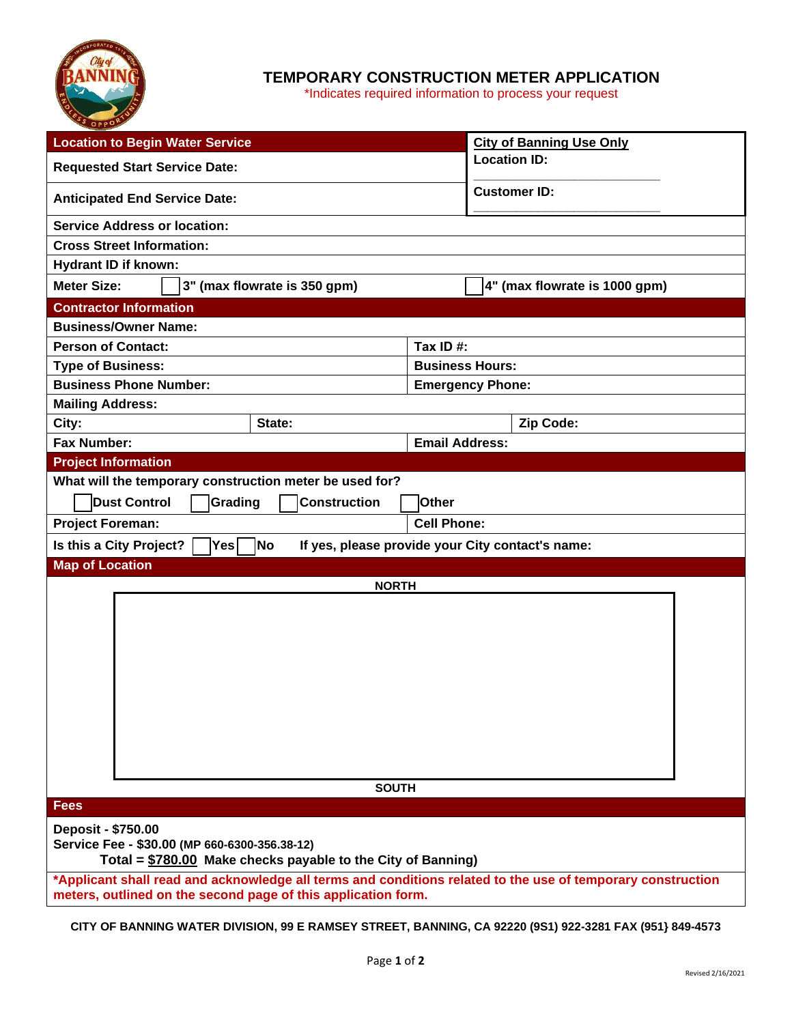

## **TEMPORARY CONSTRUCTION METER APPLICATION**

\*Indicates required information to process your request

| <b>Location to Begin Water Service</b>                                                                      |        |                         | <b>City of Banning Use Only</b> |  |
|-------------------------------------------------------------------------------------------------------------|--------|-------------------------|---------------------------------|--|
| <b>Requested Start Service Date:</b>                                                                        |        |                         | <b>Location ID:</b>             |  |
| <b>Anticipated End Service Date:</b>                                                                        |        |                         | <b>Customer ID:</b>             |  |
| <b>Service Address or location:</b>                                                                         |        |                         |                                 |  |
| <b>Cross Street Information:</b>                                                                            |        |                         |                                 |  |
| Hydrant ID if known:                                                                                        |        |                         |                                 |  |
| <b>Meter Size:</b><br>3" (max flowrate is 350 gpm)                                                          |        |                         | 4" (max flowrate is 1000 gpm)   |  |
| <b>Contractor Information</b>                                                                               |        |                         |                                 |  |
| <b>Business/Owner Name:</b>                                                                                 |        |                         |                                 |  |
| <b>Person of Contact:</b>                                                                                   |        |                         | Tax ID#:                        |  |
| <b>Type of Business:</b>                                                                                    |        | <b>Business Hours:</b>  |                                 |  |
| <b>Business Phone Number:</b>                                                                               |        | <b>Emergency Phone:</b> |                                 |  |
| <b>Mailing Address:</b>                                                                                     |        |                         |                                 |  |
| City:                                                                                                       | State: |                         | Zip Code:                       |  |
| <b>Fax Number:</b>                                                                                          |        | <b>Email Address:</b>   |                                 |  |
| <b>Project Information</b>                                                                                  |        |                         |                                 |  |
| What will the temporary construction meter be used for?                                                     |        |                         |                                 |  |
| <b>Dust Control</b><br>Grading<br><b>Construction</b><br>Other                                              |        |                         |                                 |  |
| <b>Cell Phone:</b><br><b>Project Foreman:</b>                                                               |        |                         |                                 |  |
| Is this a City Project?<br> No<br>If yes, please provide your City contact's name:<br>Yes                   |        |                         |                                 |  |
| <b>Map of Location</b>                                                                                      |        |                         |                                 |  |
| <b>NORTH</b>                                                                                                |        |                         |                                 |  |
|                                                                                                             |        |                         |                                 |  |
|                                                                                                             |        |                         |                                 |  |
|                                                                                                             |        |                         |                                 |  |
|                                                                                                             |        |                         |                                 |  |
|                                                                                                             |        |                         |                                 |  |
|                                                                                                             |        |                         |                                 |  |
|                                                                                                             |        |                         |                                 |  |
|                                                                                                             |        |                         |                                 |  |
|                                                                                                             |        |                         |                                 |  |
|                                                                                                             |        |                         |                                 |  |
| <b>SOUTH</b><br><b>Fees</b>                                                                                 |        |                         |                                 |  |
|                                                                                                             |        |                         |                                 |  |
| Deposit - \$750.00<br>Service Fee - \$30.00 (MP 660-6300-356.38-12)                                         |        |                         |                                 |  |
| Total = \$780.00 Make checks payable to the City of Banning)                                                |        |                         |                                 |  |
| *Applicant shall read and acknowledge all terms and conditions related to the use of temporary construction |        |                         |                                 |  |
| meters, outlined on the second page of this application form.                                               |        |                         |                                 |  |

**CITY OF BANNING WATER DIVISION, 99 E RAMSEY STREET, BANNING, CA 92220 (9S1) 922-3281 FAX (951} 849-4573**